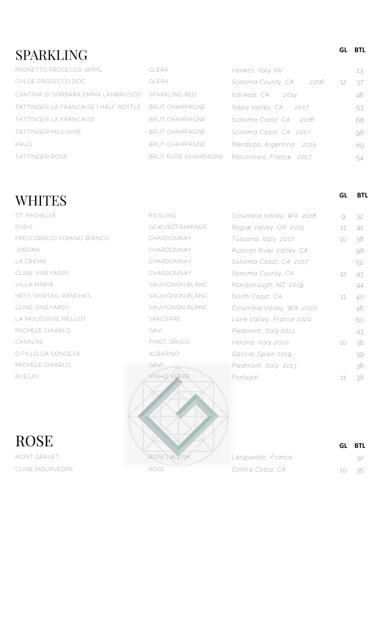## **SPARKLING**

| <b>GLERA</b>                                        | Veneto, Italy NV          | 13 |
|-----------------------------------------------------|---------------------------|----|
| <b>GLERA</b>                                        | Sonoma County, CA<br>2016 | 37 |
| CANTINA DI SORBARA EMMA LAMBRUSCO<br>SPARKI ING RED | Varietal, CA<br>2014      | 46 |
| TATTINGER LA FRANCAISE   HALF BOTTLE BRUT CHAMPAGNE | Napa Valley, CA<br>2017   | 53 |
| <b>BRUT CHAMPAGNE</b>                               | Sonoma Coast, CA<br>-2016 | 68 |
| <b>BRUT CHAMPAGNE</b>                               | Sonoma Coast, CA 2017     | 98 |
| <b>BRUT CHAMPAGNE</b>                               | Mendoza, Argentina 2015   | 89 |
| BRUT ROSE CHAMPAGNE                                 | Maconnais, France 2017    | 54 |
|                                                     |                           |    |

## **WHITES**

**ROSE** CLINE MOURVEDRE ROSE *Contra Costa, CA* 10 35

| <b>GEWURZTRAMINER</b> |
|-----------------------|
| CHARDONNAY            |
| CHARDONNAY            |
| CHARDONNAY            |
| CHARDONNAY            |
| SAUVIGNON BLANC       |
| SAUVIGNON BI ANC      |
| SAUVIGNON BLANC       |
| SANCERRE              |
| GAVI                  |
| PINOT GRIGIO          |
| AI BARINO             |
| GAVI                  |
| <b>VINHO VERDE</b>    |
|                       |



| ST. MICHELLE              | <b>RIESLING</b> | Columbia Valley, WA 2016  | $\Theta$        | 32 |
|---------------------------|-----------------|---------------------------|-----------------|----|
| <b>FORIS</b>              | GEWURZTRAMINER  | Rogue Valley, OR 2015     | 11              | 41 |
| FRESCOBALDI POMINO BIANCO | CHARDONNAY      | Tuscana, Italy 2017       | 10 <sup>°</sup> | 38 |
| JORDAN                    | CHARDONNAY      | Russian River Valley, CA  |                 | 98 |
| LA CREMA                  | CHARDONNAY      | Sonoma Coast, CA 2017     |                 | 52 |
| CLINE VINEYARDS           | CHARDONNAY      | Sonoma County, CA         | 12 <sup>°</sup> | 43 |
| VILLA MARIA               | SAUVIGNON BLANC | Marlborough, NZ 2019      |                 | 44 |
| HESS SHIRTAIL RANCHES     | SAUVIGNON BLANC | North Coast, CA           | 11              | 40 |
| CLINE VINEYARDS           | SAUVIGNON BLANC | Columbia Valley, WA 2020  |                 | 46 |
| LA MOUSSIERE MELLOT       | SANCERRE        | Loire Valley, France 2020 |                 | 60 |
| MICHELE CHIARLO           | GAVI            | Piedmont, Italy 2013      |                 | 43 |
| CASALINI                  | PINOT GRIGIO    | Verona, Italy 2020        | 10 <sup>°</sup> | 36 |
| O FILLO DA CONDESA        | ALBARINO        | Galicia, Spain 2019       |                 | 39 |
| MICHELE CHIARLO           | GAVI            | Piedmont, Italy 2013      |                 | 36 |
| <b>RUELAS</b>             | VINHO VERDE     | Portugal                  | 11              | 38 |

|                   | GL BTL |
|-------------------|--------|
| Languedoc, France |        |
| Contra Costa, CA  | 10 35  |

**GL BTL**

**GL BTL**